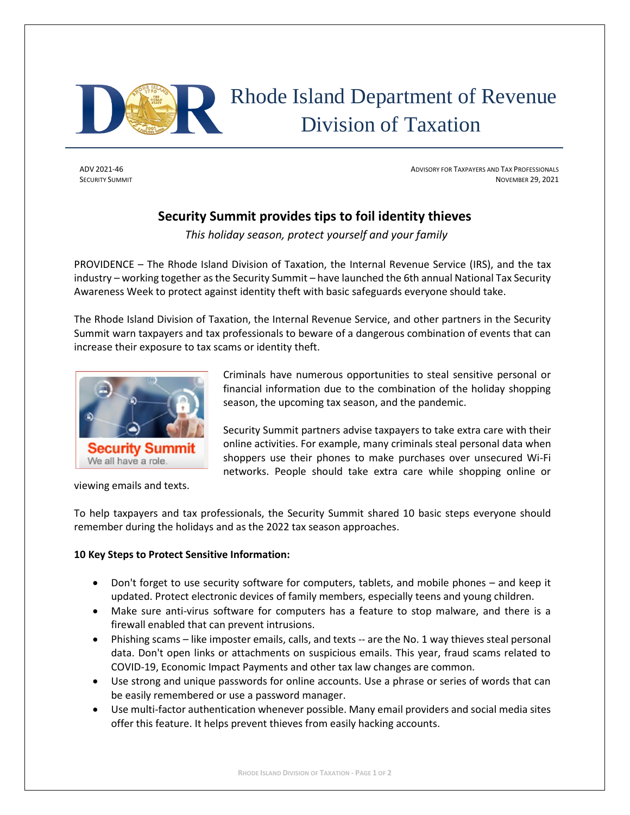

## Rhode Island Department of Revenue Division of Taxation

ADV 2021-46 ADVISORY FOR TAXPAYERS AND TAX PROFESSIONALS **SECURITY SUMMIT** NOVEMBER 29, 2021

## **Security Summit provides tips to foil identity thieves**

*This holiday season, protect yourself and your family*

PROVIDENCE – The Rhode Island Division of Taxation, the Internal Revenue Service (IRS), and the tax industry – working together as the Security Summit – have launched the 6th annual National Tax Security Awareness Week to protect against identity theft with basic safeguards everyone should take.

The Rhode Island Division of Taxation, the Internal Revenue Service, and other partners in the Security Summit warn taxpayers and tax professionals to beware of a dangerous combination of events that can increase their exposure to tax scams or identity theft.



viewing emails and texts.

Criminals have numerous opportunities to steal sensitive personal or financial information due to the combination of the holiday shopping season, the upcoming tax season, and the pandemic.

Security Summit partners advise taxpayers to take extra care with their online activities. For example, many criminals steal personal data when shoppers use their phones to make purchases over unsecured Wi-Fi networks. People should take extra care while shopping online or

To help taxpayers and tax professionals, the Security Summit shared 10 basic steps everyone should remember during the holidays and as the 2022 tax season approaches.

## **10 Key Steps to Protect Sensitive Information:**

- Don't forget to use security software for computers, tablets, and mobile phones and keep it updated. Protect electronic devices of family members, especially teens and young children.
- Make sure anti-virus software for computers has a feature to stop malware, and there is a firewall enabled that can prevent intrusions.
- Phishing scams like imposter emails, calls, and texts -- are the No. 1 way thieves steal personal data. Don't open links or attachments on suspicious emails. This year, fraud scams related to COVID-19, Economic Impact Payments and other tax law changes are common.
- Use strong and unique passwords for online accounts. Use a phrase or series of words that can be easily remembered or use a password manager.
- Use multi-factor authentication whenever possible. Many email providers and social media sites offer this feature. It helps prevent thieves from easily hacking accounts.